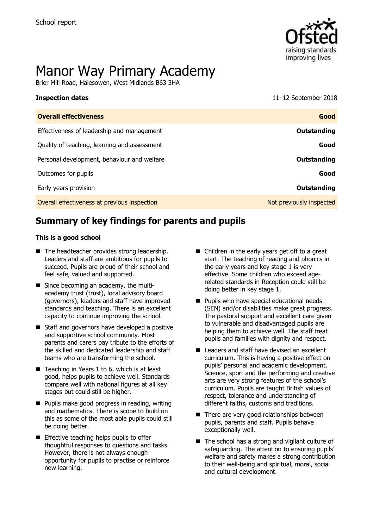

# Manor Way Primary Academy

Brier Mill Road, Halesowen, West Midlands B63 3HA

**Inspection dates** 11–12 September 2018

| <b>Overall effectiveness</b>                 | Good                     |
|----------------------------------------------|--------------------------|
| Effectiveness of leadership and management   | Outstanding              |
| Quality of teaching, learning and assessment | Good                     |
| Personal development, behaviour and welfare  | Outstanding              |
| Outcomes for pupils                          | Good                     |
| Early years provision                        | <b>Outstanding</b>       |
| Overall effectiveness at previous inspection | Not previously inspected |

# **Summary of key findings for parents and pupils**

#### **This is a good school**

- The headteacher provides strong leadership. Leaders and staff are ambitious for pupils to succeed. Pupils are proud of their school and feel safe, valued and supported.
- Since becoming an academy, the multiacademy trust (trust), local advisory board (governors), leaders and staff have improved standards and teaching. There is an excellent capacity to continue improving the school.
- Staff and governors have developed a positive and supportive school community. Most parents and carers pay tribute to the efforts of the skilled and dedicated leadership and staff teams who are transforming the school.
- $\blacksquare$  Teaching in Years 1 to 6, which is at least good, helps pupils to achieve well. Standards compare well with national figures at all key stages but could still be higher.
- **Pupils make good progress in reading, writing** and mathematics. There is scope to build on this as some of the most able pupils could still be doing better.
- **Effective teaching helps pupils to offer** thoughtful responses to questions and tasks. However, there is not always enough opportunity for pupils to practise or reinforce new learning.
- Children in the early years get off to a great start. The teaching of reading and phonics in the early years and key stage 1 is very effective. Some children who exceed agerelated standards in Reception could still be doing better in key stage 1.
- **Pupils who have special educational needs** (SEN) and/or disabilities make great progress. The pastoral support and excellent care given to vulnerable and disadvantaged pupils are helping them to achieve well. The staff treat pupils and families with dignity and respect.
- Leaders and staff have devised an excellent curriculum. This is having a positive effect on pupils' personal and academic development. Science, sport and the performing and creative arts are very strong features of the school's curriculum. Pupils are taught British values of respect, tolerance and understanding of different faiths, customs and traditions.
- $\blacksquare$  There are very good relationships between pupils, parents and staff. Pupils behave exceptionally well.
- $\blacksquare$  The school has a strong and vigilant culture of safeguarding. The attention to ensuring pupils' welfare and safety makes a strong contribution to their well-being and spiritual, moral, social and cultural development.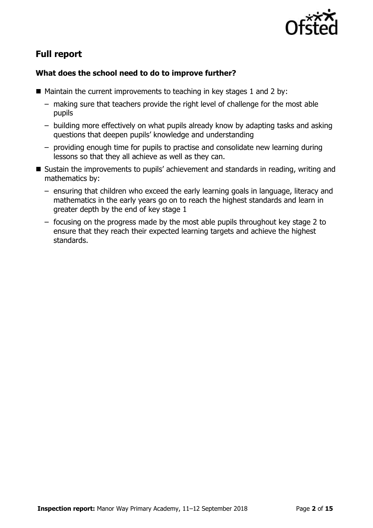

# **Full report**

### **What does the school need to do to improve further?**

- $\blacksquare$  Maintain the current improvements to teaching in key stages 1 and 2 by:
	- making sure that teachers provide the right level of challenge for the most able pupils
	- building more effectively on what pupils already know by adapting tasks and asking questions that deepen pupils' knowledge and understanding
	- providing enough time for pupils to practise and consolidate new learning during lessons so that they all achieve as well as they can.
- Sustain the improvements to pupils' achievement and standards in reading, writing and mathematics by:
	- ensuring that children who exceed the early learning goals in language, literacy and mathematics in the early years go on to reach the highest standards and learn in greater depth by the end of key stage 1
	- focusing on the progress made by the most able pupils throughout key stage 2 to ensure that they reach their expected learning targets and achieve the highest standards.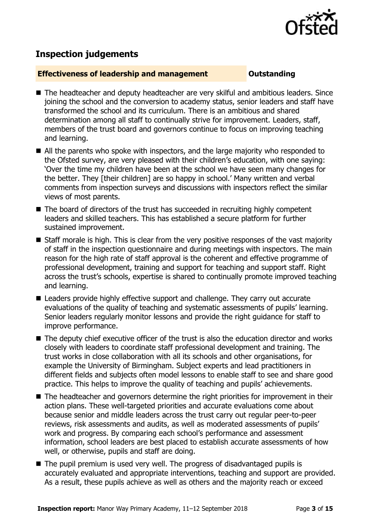

# **Inspection judgements**

#### **Effectiveness of leadership and management Constanding**

- The headteacher and deputy headteacher are very skilful and ambitious leaders. Since joining the school and the conversion to academy status, senior leaders and staff have transformed the school and its curriculum. There is an ambitious and shared determination among all staff to continually strive for improvement. Leaders, staff, members of the trust board and governors continue to focus on improving teaching and learning.
- All the parents who spoke with inspectors, and the large majority who responded to the Ofsted survey, are very pleased with their children's education, with one saying: 'Over the time my children have been at the school we have seen many changes for the better. They [their children] are so happy in school.' Many written and verbal comments from inspection surveys and discussions with inspectors reflect the similar views of most parents.
- The board of directors of the trust has succeeded in recruiting highly competent leaders and skilled teachers. This has established a secure platform for further sustained improvement.
- Staff morale is high. This is clear from the very positive responses of the vast majority of staff in the inspection questionnaire and during meetings with inspectors. The main reason for the high rate of staff approval is the coherent and effective programme of professional development, training and support for teaching and support staff. Right across the trust's schools, expertise is shared to continually promote improved teaching and learning.
- Leaders provide highly effective support and challenge. They carry out accurate evaluations of the quality of teaching and systematic assessments of pupils' learning. Senior leaders regularly monitor lessons and provide the right guidance for staff to improve performance.
- The deputy chief executive officer of the trust is also the education director and works closely with leaders to coordinate staff professional development and training. The trust works in close collaboration with all its schools and other organisations, for example the University of Birmingham. Subject experts and lead practitioners in different fields and subjects often model lessons to enable staff to see and share good practice. This helps to improve the quality of teaching and pupils' achievements.
- The headteacher and governors determine the right priorities for improvement in their action plans. These well-targeted priorities and accurate evaluations come about because senior and middle leaders across the trust carry out regular peer-to-peer reviews, risk assessments and audits, as well as moderated assessments of pupils' work and progress. By comparing each school's performance and assessment information, school leaders are best placed to establish accurate assessments of how well, or otherwise, pupils and staff are doing.
- The pupil premium is used very well. The progress of disadvantaged pupils is accurately evaluated and appropriate interventions, teaching and support are provided. As a result, these pupils achieve as well as others and the majority reach or exceed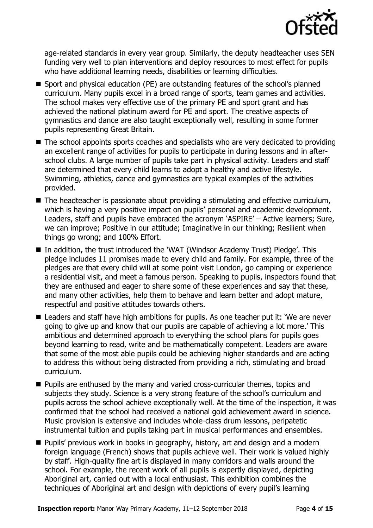

age-related standards in every year group. Similarly, the deputy headteacher uses SEN funding very well to plan interventions and deploy resources to most effect for pupils who have additional learning needs, disabilities or learning difficulties.

- Sport and physical education (PE) are outstanding features of the school's planned curriculum. Many pupils excel in a broad range of sports, team games and activities. The school makes very effective use of the primary PE and sport grant and has achieved the national platinum award for PE and sport. The creative aspects of gymnastics and dance are also taught exceptionally well, resulting in some former pupils representing Great Britain.
- The school appoints sports coaches and specialists who are very dedicated to providing an excellent range of activities for pupils to participate in during lessons and in afterschool clubs. A large number of pupils take part in physical activity. Leaders and staff are determined that every child learns to adopt a healthy and active lifestyle. Swimming, athletics, dance and gymnastics are typical examples of the activities provided.
- The headteacher is passionate about providing a stimulating and effective curriculum, which is having a very positive impact on pupils' personal and academic development. Leaders, staff and pupils have embraced the acronym 'ASPIRE' – Active learners; Sure, we can improve; Positive in our attitude; Imaginative in our thinking; Resilient when things go wrong; and 100% Effort.
- In addition, the trust introduced the 'WAT (Windsor Academy Trust) Pledge'. This pledge includes 11 promises made to every child and family. For example, three of the pledges are that every child will at some point visit London, go camping or experience a residential visit, and meet a famous person. Speaking to pupils, inspectors found that they are enthused and eager to share some of these experiences and say that these, and many other activities, help them to behave and learn better and adopt mature, respectful and positive attitudes towards others.
- Leaders and staff have high ambitions for pupils. As one teacher put it: 'We are never going to give up and know that our pupils are capable of achieving a lot more.' This ambitious and determined approach to everything the school plans for pupils goes beyond learning to read, write and be mathematically competent. Leaders are aware that some of the most able pupils could be achieving higher standards and are acting to address this without being distracted from providing a rich, stimulating and broad curriculum.
- **Pupils are enthused by the many and varied cross-curricular themes, topics and** subjects they study. Science is a very strong feature of the school's curriculum and pupils across the school achieve exceptionally well. At the time of the inspection, it was confirmed that the school had received a national gold achievement award in science. Music provision is extensive and includes whole-class drum lessons, peripatetic instrumental tuition and pupils taking part in musical performances and ensembles.
- **Pupils' previous work in books in geography, history, art and design and a modern** foreign language (French) shows that pupils achieve well. Their work is valued highly by staff. High-quality fine art is displayed in many corridors and walls around the school. For example, the recent work of all pupils is expertly displayed, depicting Aboriginal art, carried out with a local enthusiast. This exhibition combines the techniques of Aboriginal art and design with depictions of every pupil's learning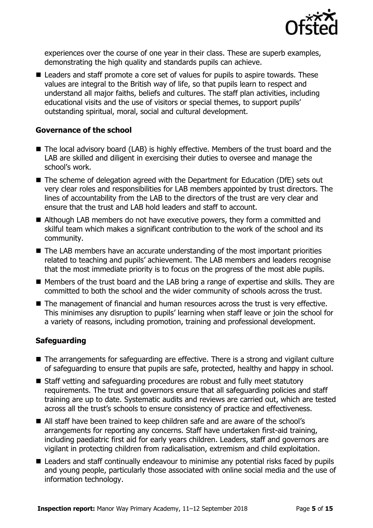

experiences over the course of one year in their class. These are superb examples, demonstrating the high quality and standards pupils can achieve.

■ Leaders and staff promote a core set of values for pupils to aspire towards. These values are integral to the British way of life, so that pupils learn to respect and understand all major faiths, beliefs and cultures. The staff plan activities, including educational visits and the use of visitors or special themes, to support pupils' outstanding spiritual, moral, social and cultural development.

#### **Governance of the school**

- The local advisory board (LAB) is highly effective. Members of the trust board and the LAB are skilled and diligent in exercising their duties to oversee and manage the school's work.
- The scheme of delegation agreed with the Department for Education (DfE) sets out very clear roles and responsibilities for LAB members appointed by trust directors. The lines of accountability from the LAB to the directors of the trust are very clear and ensure that the trust and LAB hold leaders and staff to account.
- Although LAB members do not have executive powers, they form a committed and skilful team which makes a significant contribution to the work of the school and its community.
- The LAB members have an accurate understanding of the most important priorities related to teaching and pupils' achievement. The LAB members and leaders recognise that the most immediate priority is to focus on the progress of the most able pupils.
- Members of the trust board and the LAB bring a range of expertise and skills. They are committed to both the school and the wider community of schools across the trust.
- The management of financial and human resources across the trust is very effective. This minimises any disruption to pupils' learning when staff leave or join the school for a variety of reasons, including promotion, training and professional development.

### **Safeguarding**

- The arrangements for safeguarding are effective. There is a strong and vigilant culture of safeguarding to ensure that pupils are safe, protected, healthy and happy in school.
- Staff vetting and safeguarding procedures are robust and fully meet statutory requirements. The trust and governors ensure that all safeguarding policies and staff training are up to date. Systematic audits and reviews are carried out, which are tested across all the trust's schools to ensure consistency of practice and effectiveness.
- All staff have been trained to keep children safe and are aware of the school's arrangements for reporting any concerns. Staff have undertaken first-aid training, including paediatric first aid for early years children. Leaders, staff and governors are vigilant in protecting children from radicalisation, extremism and child exploitation.
- Leaders and staff continually endeavour to minimise any potential risks faced by pupils and young people, particularly those associated with online social media and the use of information technology.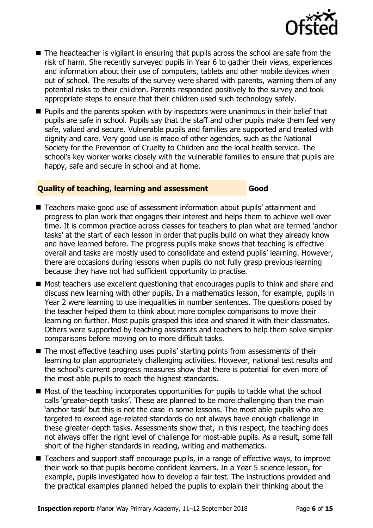

- The headteacher is vigilant in ensuring that pupils across the school are safe from the risk of harm. She recently surveyed pupils in Year 6 to gather their views, experiences and information about their use of computers, tablets and other mobile devices when out of school. The results of the survey were shared with parents, warning them of any potential risks to their children. Parents responded positively to the survey and took appropriate steps to ensure that their children used such technology safely.
- **Pupils and the parents spoken with by inspectors were unanimous in their belief that** pupils are safe in school. Pupils say that the staff and other pupils make them feel very safe, valued and secure. Vulnerable pupils and families are supported and treated with dignity and care. Very good use is made of other agencies, such as the National Society for the Prevention of Cruelty to Children and the local health service. The school's key worker works closely with the vulnerable families to ensure that pupils are happy, safe and secure in school and at home.

#### **Quality of teaching, learning and assessment Good**

- Teachers make good use of assessment information about pupils' attainment and progress to plan work that engages their interest and helps them to achieve well over time. It is common practice across classes for teachers to plan what are termed 'anchor tasks' at the start of each lesson in order that pupils build on what they already know and have learned before. The progress pupils make shows that teaching is effective overall and tasks are mostly used to consolidate and extend pupils' learning. However, there are occasions during lessons when pupils do not fully grasp previous learning because they have not had sufficient opportunity to practise.
- Most teachers use excellent questioning that encourages pupils to think and share and discuss new learning with other pupils. In a mathematics lesson, for example, pupils in Year 2 were learning to use inequalities in number sentences. The questions posed by the teacher helped them to think about more complex comparisons to move their learning on further. Most pupils grasped this idea and shared it with their classmates. Others were supported by teaching assistants and teachers to help them solve simpler comparisons before moving on to more difficult tasks.
- The most effective teaching uses pupils' starting points from assessments of their learning to plan appropriately challenging activities. However, national test results and the school's current progress measures show that there is potential for even more of the most able pupils to reach the highest standards.
- $\blacksquare$  Most of the teaching incorporates opportunities for pupils to tackle what the school calls 'greater-depth tasks'. These are planned to be more challenging than the main 'anchor task' but this is not the case in some lessons. The most able pupils who are targeted to exceed age-related standards do not always have enough challenge in these greater-depth tasks. Assessments show that, in this respect, the teaching does not always offer the right level of challenge for most-able pupils. As a result, some fall short of the higher standards in reading, writing and mathematics.
- Teachers and support staff encourage pupils, in a range of effective ways, to improve their work so that pupils become confident learners. In a Year 5 science lesson, for example, pupils investigated how to develop a fair test. The instructions provided and the practical examples planned helped the pupils to explain their thinking about the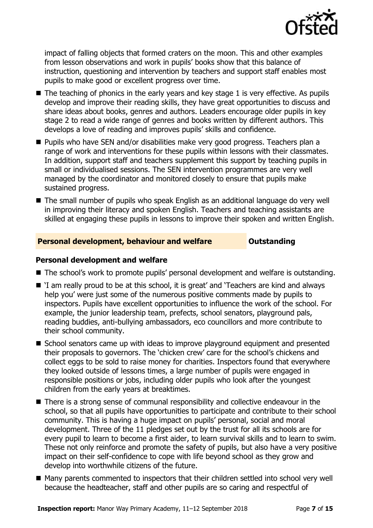

impact of falling objects that formed craters on the moon. This and other examples from lesson observations and work in pupils' books show that this balance of instruction, questioning and intervention by teachers and support staff enables most pupils to make good or excellent progress over time.

- $\blacksquare$  The teaching of phonics in the early years and key stage 1 is very effective. As pupils develop and improve their reading skills, they have great opportunities to discuss and share ideas about books, genres and authors. Leaders encourage older pupils in key stage 2 to read a wide range of genres and books written by different authors. This develops a love of reading and improves pupils' skills and confidence.
- Pupils who have SEN and/or disabilities make very good progress. Teachers plan a range of work and interventions for these pupils within lessons with their classmates. In addition, support staff and teachers supplement this support by teaching pupils in small or individualised sessions. The SEN intervention programmes are very well managed by the coordinator and monitored closely to ensure that pupils make sustained progress.
- The small number of pupils who speak English as an additional language do very well in improving their literacy and spoken English. Teachers and teaching assistants are skilled at engaging these pupils in lessons to improve their spoken and written English.

### **Personal development, behaviour and welfare <b>COULD** Dutstanding

#### **Personal development and welfare**

- The school's work to promote pupils' personal development and welfare is outstanding.
- 'I am really proud to be at this school, it is great' and 'Teachers are kind and always help you' were just some of the numerous positive comments made by pupils to inspectors. Pupils have excellent opportunities to influence the work of the school. For example, the junior leadership team, prefects, school senators, playground pals, reading buddies, anti-bullying ambassadors, eco councillors and more contribute to their school community.
- School senators came up with ideas to improve playground equipment and presented their proposals to governors. The 'chicken crew' care for the school's chickens and collect eggs to be sold to raise money for charities. Inspectors found that everywhere they looked outside of lessons times, a large number of pupils were engaged in responsible positions or jobs, including older pupils who look after the youngest children from the early years at breaktimes.
- There is a strong sense of communal responsibility and collective endeavour in the school, so that all pupils have opportunities to participate and contribute to their school community. This is having a huge impact on pupils' personal, social and moral development. Three of the 11 pledges set out by the trust for all its schools are for every pupil to learn to become a first aider, to learn survival skills and to learn to swim. These not only reinforce and promote the safety of pupils, but also have a very positive impact on their self-confidence to cope with life beyond school as they grow and develop into worthwhile citizens of the future.
- Many parents commented to inspectors that their children settled into school very well because the headteacher, staff and other pupils are so caring and respectful of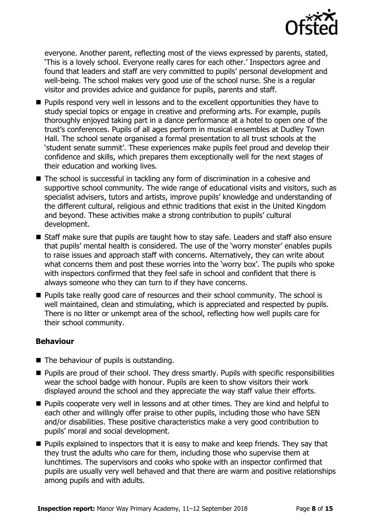

everyone. Another parent, reflecting most of the views expressed by parents, stated, 'This is a lovely school. Everyone really cares for each other.' Inspectors agree and found that leaders and staff are very committed to pupils' personal development and well-being. The school makes very good use of the school nurse. She is a regular visitor and provides advice and guidance for pupils, parents and staff.

- **Pupils respond very well in lessons and to the excellent opportunities they have to** study special topics or engage in creative and preforming arts. For example, pupils thoroughly enjoyed taking part in a dance performance at a hotel to open one of the trust's conferences. Pupils of all ages perform in musical ensembles at Dudley Town Hall. The school senate organised a formal presentation to all trust schools at the 'student senate summit'. These experiences make pupils feel proud and develop their confidence and skills, which prepares them exceptionally well for the next stages of their education and working lives.
- The school is successful in tackling any form of discrimination in a cohesive and supportive school community. The wide range of educational visits and visitors, such as specialist advisers, tutors and artists, improve pupils' knowledge and understanding of the different cultural, religious and ethnic traditions that exist in the United Kingdom and beyond. These activities make a strong contribution to pupils' cultural development.
- Staff make sure that pupils are taught how to stay safe. Leaders and staff also ensure that pupils' mental health is considered. The use of the 'worry monster' enables pupils to raise issues and approach staff with concerns. Alternatively, they can write about what concerns them and post these worries into the 'worry box'. The pupils who spoke with inspectors confirmed that they feel safe in school and confident that there is always someone who they can turn to if they have concerns.
- **Pupils take really good care of resources and their school community. The school is** well maintained, clean and stimulating, which is appreciated and respected by pupils. There is no litter or unkempt area of the school, reflecting how well pupils care for their school community.

### **Behaviour**

- $\blacksquare$  The behaviour of pupils is outstanding.
- **Pupils are proud of their school. They dress smartly. Pupils with specific responsibilities** wear the school badge with honour. Pupils are keen to show visitors their work displayed around the school and they appreciate the way staff value their efforts.
- **Pupils cooperate very well in lessons and at other times. They are kind and helpful to** each other and willingly offer praise to other pupils, including those who have SEN and/or disabilities. These positive characteristics make a very good contribution to pupils' moral and social development.
- **Pupils explained to inspectors that it is easy to make and keep friends. They say that** they trust the adults who care for them, including those who supervise them at lunchtimes. The supervisors and cooks who spoke with an inspector confirmed that pupils are usually very well behaved and that there are warm and positive relationships among pupils and with adults.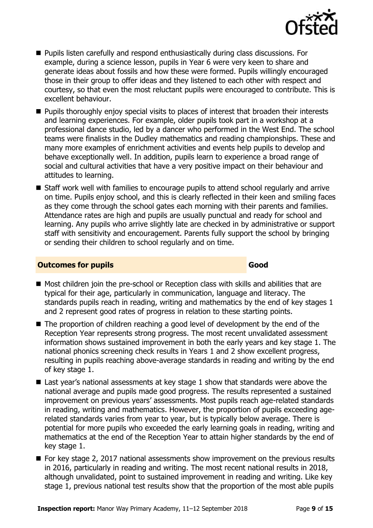

- Pupils listen carefully and respond enthusiastically during class discussions. For example, during a science lesson, pupils in Year 6 were very keen to share and generate ideas about fossils and how these were formed. Pupils willingly encouraged those in their group to offer ideas and they listened to each other with respect and courtesy, so that even the most reluctant pupils were encouraged to contribute. This is excellent behaviour.
- **Pupils thoroughly enjoy special visits to places of interest that broaden their interests** and learning experiences. For example, older pupils took part in a workshop at a professional dance studio, led by a dancer who performed in the West End. The school teams were finalists in the Dudley mathematics and reading championships. These and many more examples of enrichment activities and events help pupils to develop and behave exceptionally well. In addition, pupils learn to experience a broad range of social and cultural activities that have a very positive impact on their behaviour and attitudes to learning.
- Staff work well with families to encourage pupils to attend school regularly and arrive on time. Pupils enjoy school, and this is clearly reflected in their keen and smiling faces as they come through the school gates each morning with their parents and families. Attendance rates are high and pupils are usually punctual and ready for school and learning. Any pupils who arrive slightly late are checked in by administrative or support staff with sensitivity and encouragement. Parents fully support the school by bringing or sending their children to school regularly and on time.

#### **Outcomes for pupils Good Good**

- Most children join the pre-school or Reception class with skills and abilities that are typical for their age, particularly in communication, language and literacy. The standards pupils reach in reading, writing and mathematics by the end of key stages 1 and 2 represent good rates of progress in relation to these starting points.
- The proportion of children reaching a good level of development by the end of the Reception Year represents strong progress. The most recent unvalidated assessment information shows sustained improvement in both the early years and key stage 1. The national phonics screening check results in Years 1 and 2 show excellent progress, resulting in pupils reaching above-average standards in reading and writing by the end of key stage 1.
- Last year's national assessments at key stage 1 show that standards were above the national average and pupils made good progress. The results represented a sustained improvement on previous years' assessments. Most pupils reach age-related standards in reading, writing and mathematics. However, the proportion of pupils exceeding agerelated standards varies from year to year, but is typically below average. There is potential for more pupils who exceeded the early learning goals in reading, writing and mathematics at the end of the Reception Year to attain higher standards by the end of key stage 1.
- For key stage 2, 2017 national assessments show improvement on the previous results in 2016, particularly in reading and writing. The most recent national results in 2018, although unvalidated, point to sustained improvement in reading and writing. Like key stage 1, previous national test results show that the proportion of the most able pupils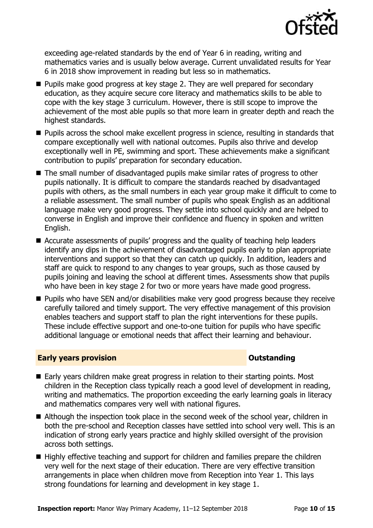

exceeding age-related standards by the end of Year 6 in reading, writing and mathematics varies and is usually below average. Current unvalidated results for Year 6 in 2018 show improvement in reading but less so in mathematics.

- **Pupils make good progress at key stage 2. They are well prepared for secondary** education, as they acquire secure core literacy and mathematics skills to be able to cope with the key stage 3 curriculum. However, there is still scope to improve the achievement of the most able pupils so that more learn in greater depth and reach the highest standards.
- **Pupils across the school make excellent progress in science, resulting in standards that** compare exceptionally well with national outcomes. Pupils also thrive and develop exceptionally well in PE, swimming and sport. These achievements make a significant contribution to pupils' preparation for secondary education.
- The small number of disadvantaged pupils make similar rates of progress to other pupils nationally. It is difficult to compare the standards reached by disadvantaged pupils with others, as the small numbers in each year group make it difficult to come to a reliable assessment. The small number of pupils who speak English as an additional language make very good progress. They settle into school quickly and are helped to converse in English and improve their confidence and fluency in spoken and written English.
- Accurate assessments of pupils' progress and the quality of teaching help leaders identify any dips in the achievement of disadvantaged pupils early to plan appropriate interventions and support so that they can catch up quickly. In addition, leaders and staff are quick to respond to any changes to year groups, such as those caused by pupils joining and leaving the school at different times. Assessments show that pupils who have been in key stage 2 for two or more years have made good progress.
- Pupils who have SEN and/or disabilities make very good progress because they receive carefully tailored and timely support. The very effective management of this provision enables teachers and support staff to plan the right interventions for these pupils. These include effective support and one-to-one tuition for pupils who have specific additional language or emotional needs that affect their learning and behaviour.

#### **Early years provision CONSTANDING TO A RESEARCH CONSTANDING TO A RESEARCH CONSTANDING TO A RESEARCH CONSTANDING TO A RESEARCH CONSTANDING TO A RESEARCH CONSTANDING TO A RESEARCH CONSTANDING TO A RESEARCH CONSTANDING TO**

- Early years children make great progress in relation to their starting points. Most children in the Reception class typically reach a good level of development in reading, writing and mathematics. The proportion exceeding the early learning goals in literacy and mathematics compares very well with national figures.
- Although the inspection took place in the second week of the school year, children in both the pre-school and Reception classes have settled into school very well. This is an indication of strong early years practice and highly skilled oversight of the provision across both settings.
- Highly effective teaching and support for children and families prepare the children very well for the next stage of their education. There are very effective transition arrangements in place when children move from Reception into Year 1. This lays strong foundations for learning and development in key stage 1.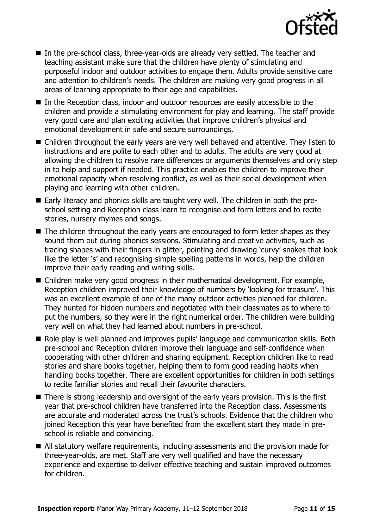

- In the pre-school class, three-year-olds are already very settled. The teacher and teaching assistant make sure that the children have plenty of stimulating and purposeful indoor and outdoor activities to engage them. Adults provide sensitive care and attention to children's needs. The children are making very good progress in all areas of learning appropriate to their age and capabilities.
- In the Reception class, indoor and outdoor resources are easily accessible to the children and provide a stimulating environment for play and learning. The staff provide very good care and plan exciting activities that improve children's physical and emotional development in safe and secure surroundings.
- Children throughout the early years are very well behaved and attentive. They listen to instructions and are polite to each other and to adults. The adults are very good at allowing the children to resolve rare differences or arguments themselves and only step in to help and support if needed. This practice enables the children to improve their emotional capacity when resolving conflict, as well as their social development when playing and learning with other children.
- Early literacy and phonics skills are taught very well. The children in both the preschool setting and Reception class learn to recognise and form letters and to recite stories, nursery rhymes and songs.
- The children throughout the early years are encouraged to form letter shapes as they sound them out during phonics sessions. Stimulating and creative activities, such as tracing shapes with their fingers in glitter, pointing and drawing 'curvy' snakes that look like the letter 's' and recognising simple spelling patterns in words, help the children improve their early reading and writing skills.
- Children make very good progress in their mathematical development. For example, Reception children improved their knowledge of numbers by 'looking for treasure'. This was an excellent example of one of the many outdoor activities planned for children. They hunted for hidden numbers and negotiated with their classmates as to where to put the numbers, so they were in the right numerical order. The children were building very well on what they had learned about numbers in pre-school.
- Role play is well planned and improves pupils' language and communication skills. Both pre-school and Reception children improve their language and self-confidence when cooperating with other children and sharing equipment. Reception children like to read stories and share books together, helping them to form good reading habits when handling books together. There are excellent opportunities for children in both settings to recite familiar stories and recall their favourite characters.
- There is strong leadership and oversight of the early years provision. This is the first year that pre-school children have transferred into the Reception class. Assessments are accurate and moderated across the trust's schools. Evidence that the children who joined Reception this year have benefited from the excellent start they made in preschool is reliable and convincing.
- All statutory welfare requirements, including assessments and the provision made for three-year-olds, are met. Staff are very well qualified and have the necessary experience and expertise to deliver effective teaching and sustain improved outcomes for children.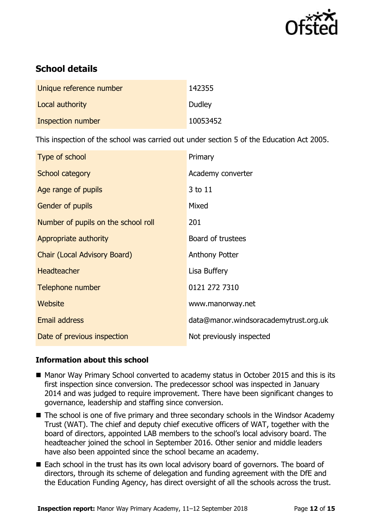

# **School details**

| Unique reference number  | 142355   |
|--------------------------|----------|
| Local authority          | Dudley   |
| <b>Inspection number</b> | 10053452 |

This inspection of the school was carried out under section 5 of the Education Act 2005.

| Type of school                      | Primary                               |
|-------------------------------------|---------------------------------------|
| School category                     | Academy converter                     |
| Age range of pupils                 | 3 to 11                               |
| <b>Gender of pupils</b>             | Mixed                                 |
| Number of pupils on the school roll | 201                                   |
| Appropriate authority               | Board of trustees                     |
| Chair (Local Advisory Board)        | <b>Anthony Potter</b>                 |
| <b>Headteacher</b>                  | Lisa Buffery                          |
| Telephone number                    | 0121 272 7310                         |
| <b>Website</b>                      | www.manorway.net                      |
| Email address                       | data@manor.windsoracademytrust.org.uk |
| Date of previous inspection         | Not previously inspected              |

#### **Information about this school**

- Manor Way Primary School converted to academy status in October 2015 and this is its first inspection since conversion. The predecessor school was inspected in January 2014 and was judged to require improvement. There have been significant changes to governance, leadership and staffing since conversion.
- The school is one of five primary and three secondary schools in the Windsor Academy Trust (WAT). The chief and deputy chief executive officers of WAT, together with the board of directors, appointed LAB members to the school's local advisory board. The headteacher joined the school in September 2016. Other senior and middle leaders have also been appointed since the school became an academy.
- Each school in the trust has its own local advisory board of governors. The board of directors, through its scheme of delegation and funding agreement with the DfE and the Education Funding Agency, has direct oversight of all the schools across the trust.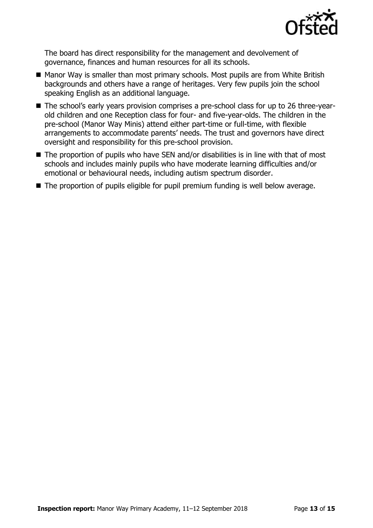

The board has direct responsibility for the management and devolvement of governance, finances and human resources for all its schools.

- Manor Way is smaller than most primary schools. Most pupils are from White British backgrounds and others have a range of heritages. Very few pupils join the school speaking English as an additional language.
- The school's early years provision comprises a pre-school class for up to 26 three-yearold children and one Reception class for four- and five-year-olds. The children in the pre-school (Manor Way Minis) attend either part-time or full-time, with flexible arrangements to accommodate parents' needs. The trust and governors have direct oversight and responsibility for this pre-school provision.
- The proportion of pupils who have SEN and/or disabilities is in line with that of most schools and includes mainly pupils who have moderate learning difficulties and/or emotional or behavioural needs, including autism spectrum disorder.
- The proportion of pupils eligible for pupil premium funding is well below average.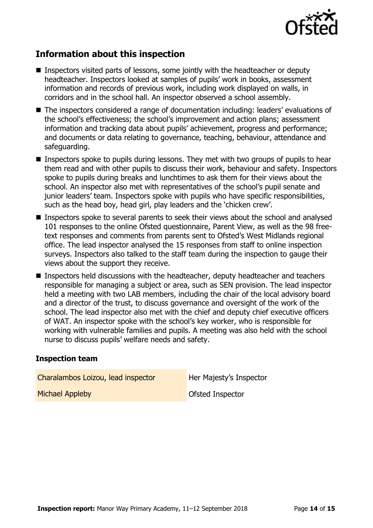

# **Information about this inspection**

- Inspectors visited parts of lessons, some jointly with the headteacher or deputy headteacher. Inspectors looked at samples of pupils' work in books, assessment information and records of previous work, including work displayed on walls, in corridors and in the school hall. An inspector observed a school assembly.
- The inspectors considered a range of documentation including: leaders' evaluations of the school's effectiveness; the school's improvement and action plans; assessment information and tracking data about pupils' achievement, progress and performance; and documents or data relating to governance, teaching, behaviour, attendance and safeguarding.
- **Inspectors spoke to pupils during lessons. They met with two groups of pupils to hear** them read and with other pupils to discuss their work, behaviour and safety. Inspectors spoke to pupils during breaks and lunchtimes to ask them for their views about the school. An inspector also met with representatives of the school's pupil senate and junior leaders' team. Inspectors spoke with pupils who have specific responsibilities, such as the head boy, head girl, play leaders and the 'chicken crew'.
- **Inspectors spoke to several parents to seek their views about the school and analysed** 101 responses to the online Ofsted questionnaire, Parent View, as well as the 98 freetext responses and comments from parents sent to Ofsted's West Midlands regional office. The lead inspector analysed the 15 responses from staff to online inspection surveys. Inspectors also talked to the staff team during the inspection to gauge their views about the support they receive.
- **Inspectors held discussions with the headteacher, deputy headteacher and teachers** responsible for managing a subject or area, such as SEN provision. The lead inspector held a meeting with two LAB members, including the chair of the local advisory board and a director of the trust, to discuss governance and oversight of the work of the school. The lead inspector also met with the chief and deputy chief executive officers of WAT. An inspector spoke with the school's key worker, who is responsible for working with vulnerable families and pupils. A meeting was also held with the school nurse to discuss pupils' welfare needs and safety.

#### **Inspection team**

| Charalambos Loizou, lead inspector | Her Majesty's Inspector |
|------------------------------------|-------------------------|
| <b>Michael Appleby</b>             | Ofsted Inspector        |